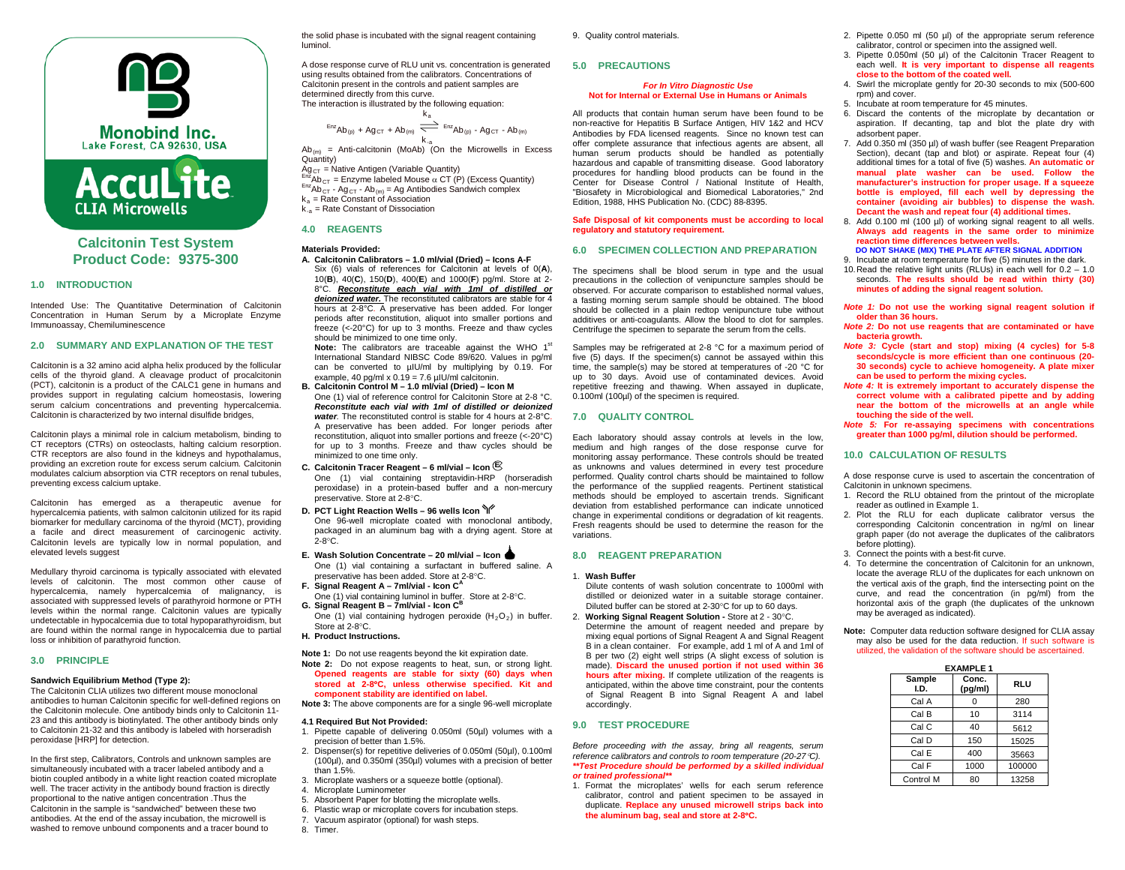



# **Calcitonin Test System Product Code: 9375-300**

### **1.0 INTRODUCTION**

Intended Use: The Quantitative Determination of Calcitonin Concentration in Human Serum by a Microplate Enzyme Immunoassay, Chemiluminescence

### **2.0 SUMMARY AND EXPLANATION OF THE TEST**

Calcitonin is a 32 amino acid alpha helix produced by the follicular cells of the thyroid gland. A cleavage product of procalcitonin (PCT), calcitonin is a product of the CALC1 gene in humans and provides support in regulating calcium homeostasis, lowering serum calcium concentrations and preventing hypercalcemia. Calcitonin is characterized by two internal disulfide bridges,

Calcitonin plays a minimal role in calcium metabolism, binding to CT receptors (CTRs) on osteoclasts, halting calcium resorption. CTR receptors are also found in the kidneys and hypothalamus, providing an excretion route for excess serum calcium. Calcitonin modulates calcium absorption via CTR receptors on renal tubules, preventing excess calcium uptake.

Calcitonin has emerged as a therapeutic avenue for hypercalcemia patients, with salmon calcitonin utilized for its rapid biomarker for medullary carcinoma of the thyroid (MCT), providing a facile and direct measurement of carcinogenic activity. Calcitonin levels are typically low in normal population, and elevated levels suggest

Medullary thyroid carcinoma is typically associated with elevated levels of calcitonin. The most common other cause of hypercalcemia, namely hypercalcemia of malignancy, is associated with suppressed levels of parathyroid hormone or PTH levels within the normal range. Calcitonin values are typically undetectable in hypocalcemia due to total hypoparathyroidism, but are found within the normal range in hypocalcemia due to partial loss or inhibition of parathyroid function.

### **3.0 PRINCIPLE**

### **Sandwich Equilibrium Method (Type 2):**

The Calcitonin CLIA utilizes two different mouse monoclonal antibodies to human Calcitonin specific for well-defined regions on the Calcitonin molecule. One antibody binds only to Calcitonin 11- 23 and this antibody is biotinylated. The other antibody binds only to Calcitonin 21-32 and this antibody is labeled with horseradish peroxidase [HRP] for detection.

In the first step, Calibrators, Controls and unknown samples are simultaneously incubated with a tracer labeled antibody and a biotin coupled antibody in a white light reaction coated microplate well. The tracer activity in the antibody bound fraction is directly proportional to the native antigen concentration .Thus the Calcitonin in the sample is "sandwiched" between these two antibodies. At the end of the assay incubation, the microwell is washed to remove unbound components and a tracer bound to

the solid phase is incubated with the signal reagent containing luminol.

A dose response curve of RLU unit vs. concentration is generated using results obtained from the calibrators. Concentrations of Calcitonin present in the controls and patient samples are determined directly from this curve. The interaction is illustrated by the following equation:

$$
^{Enz}Ab_{(p)} + Ag_{CT} + Ab_{(m)} \xrightarrow[k \rightarrow \infty]{}^{Ka} = ^{Enz}Ab_{(p)} - Ag_{CT} - Ab_{(m)}
$$

k.<sub>a</sub><br>Ab<sub>(m)</sub> = Anti-calcitonin (MoAb) (On the Microwells in Excess Quantity)

 $Ag_{CT}$  = Native Antigen (Variable Quantity)<br>  $F^{RT}Ab_{CT}$  = Enzyme labeled Mouse α CT (P) (Excess Quantity)<br>  $F^{RT}Ab_{CT}$  - Ag<sub>CT</sub> - Ab<sub>(m)</sub> = Ag Antibodies Sandwich complex  $k_a$  = Rate Constant of Association  $k_{-2}$  = Rate Constant of Dissociation

# **4.0 REAGENTS**

### **Materials Provided:**

- **A. Calcitonin Calibrators – 1.0 ml/vial (Dried) – Icons A-F** Six (6) vials of references for Calcitonin at levels of 0(**A**), 10(**B**), 40(**C**), 150(**D**), 400(**E**) and 1000(**F**) pg/ml. Store at 2- 8°C. *Reconstitute each vial with 1ml of distilled or* 
	- *deionized water.* The reconstituted calibrators are stable for 4 hours at 2-8°C. A preservative has been added. For longer periods after reconstitution, aliquot into smaller portions and freeze (<-20°C) for up to 3 months. Freeze and thaw cycles should be minimized to one time only.

**Note:** The calibrators are traceable against the WHO 1<sup>st</sup> International Standard NIBSC Code 89/620. Values in pg/ml can be converted to uIU/ml by multiplying by 0.19. For example, 40 pg/ml  $x$  0.19 = 7.6 uIU/ml calcitonin.

- **B. Calcitonin Control M – 1.0 ml/vial (Dried) – Icon M** One (1) vial of reference control for Calcitonin Store at 2-8 °C. *Reconstitute each vial with 1ml of distilled or deionized water.* The reconstituted control is stable for 4 hours at 2-8°C. A preservative has been added. For longer periods after reconstitution, aliquot into smaller portions and freeze (<-20°C) for up to 3 months. Freeze and thaw cycles should be minimized to one time only.
- **C. Calcitonin Tracer Reagent – 6 ml/vial – Icon E** One (1) vial containing streptavidin-HRP (horseradish peroxidase) in a protein-based buffer and a non-mercury preservative. Store at 2-8°C.
- **D. PCT Light Reaction Wells – 96 wells Icon**  One 96-well microplate coated with monoclonal antibody, packaged in an aluminum bag with a drying agent. Store at 2-8°C.
- **E. Wash Solution Concentrate – 20 ml/vial – Icon**  One (1) vial containing a surfactant in buffered saline. A preservative has been added. Store at 2-8°C.
- **F.** Signal Reagent A 7ml/vial Icon C
- One (1) vial containing luminol in buffer. Store at 2-8°C. **G. Signal Reagent B – 7ml/vial - Icon CB**

One (1) vial containing hydrogen peroxide  $(H_2O_2)$  in buffer. Store at 2-8°C.

- **H. Product Instructions.**
- **Note 1:** Do not use reagents beyond the kit expiration date. **Note 2:** Do not expose reagents to heat, sun, or strong light. **Opened reagents are stable for sixty (60) days when stored at 2-8**°**C, unless otherwise specified. Kit and component stability are identified on label.**
- **Note 3:** The above components are for a single 96-well microplate
- **4.1 Required But Not Provided:**
- 1. Pipette capable of delivering 0.050ml (50µl) volumes with a precision of better than 1.5%.
- 2. Dispenser(s) for repetitive deliveries of 0.050ml (50µl), 0.100ml (100µl), and 0.350ml (350µl) volumes with a precision of better than 1.5%.
- 3. Microplate washers or a squeeze bottle (optional).
- 4. Microplate Luminometer
	- 5. Absorbent Paper for blotting the microplate wells.
	- 6. Plastic wrap or microplate covers for incubation steps.
	- 7. Vacuum aspirator (optional) for wash steps.
	- 8. Timer.

9. Quality control materials.

### **5.0 PRECAUTIONS**

### *For In Vitro Diagnostic Use* **Not for Internal or External Use in Humans or Animals**

All products that contain human serum have been found to be non-reactive for Hepatitis B Surface Antigen, HIV 1&2 and HCV Antibodies by FDA licensed reagents. Since no known test can offer complete assurance that infectious agents are absent, all human serum products should be handled as potentially hazardous and capable of transmitting disease. Good laboratory procedures for handling blood products can be found in the Center for Disease Control / National Institute of Health, "Biosafety in Microbiological and Biomedical Laboratories," 2nd Edition, 1988, HHS Publication No. (CDC) 88-8395.

#### **Safe Disposal of kit components must be according to local regulatory and statutory requirement.**

# **6.0 SPECIMEN COLLECTION AND PREPARATION**

The specimens shall be blood serum in type and the usual precautions in the collection of venipuncture samples should be observed. For accurate comparison to established normal values, a fasting morning serum sample should be obtained. The blood should be collected in a plain redtop venipuncture tube without additives or anti-coagulants. Allow the blood to clot for samples. Centrifuge the specimen to separate the serum from the cells.

Samples may be refrigerated at 2-8 °C for a maximum period of five (5) days. If the specimen(s) cannot be assayed within this time, the sample(s) may be stored at temperatures of -20 °C for up to 30 days. Avoid use of contaminated devices. Avoid repetitive freezing and thawing. When assayed in duplicate, 0.100ml (100µl) of the specimen is required.

# **7.0 QUALITY CONTROL**

Each laboratory should assay controls at levels in the low, medium and high ranges of the dose response curve for monitoring assay performance. These controls should be treated as unknowns and values determined in every test procedure performed. Quality control charts should be maintained to follow the performance of the supplied reagents. Pertinent statistical methods should be employed to ascertain trends. Significant deviation from established performance can indicate unnoticed change in experimental conditions or degradation of kit reagents. Fresh reagents should be used to determine the reason for the variations.

### **8.0 REAGENT PREPARATION**

### 1. **Wash Buffer**

Dilute contents of wash solution concentrate to 1000ml with distilled or deionized water in a suitable storage container. Diluted buffer can be stored at 2-30°C for up to 60 days.

2. **Working Signal Reagent Solution -** Store at 2 - 30°C. Determine the amount of reagent needed and prepare by mixing equal portions of Signal Reagent A and Signal Reagent B in a clean container. For example, add 1 ml of A and 1ml of B per two (2) eight well strips (A slight excess of solution is made). **Discard the unused portion if not used within 36 hours after mixing.** If complete utilization of the reagents is anticipated, within the above time constraint, pour the contents of Signal Reagent B into Signal Reagent A and label accordingly.

# **9.0 TEST PROCEDURE**

*Before proceeding with the assay, bring all reagents, serum reference calibrators and controls to room temperature (20-27*°*C). \*\*Test Procedure should be performed by a skilled individual or trained professional\*\**

1. Format the microplates' wells for each serum reference calibrator, control and patient specimen to be assayed in duplicate. **Replace any unused microwell strips back into the aluminum bag, seal and store at 2-8**°**C.**

- 2. Pipette 0.050 ml (50 ul) of the appropriate serum reference calibrator, control or specimen into the assigned well.
- 3. Pipette 0.050ml (50 μl) of the Calcitonin Tracer Reagent to each well. **It is very important to dispense all reagents close to the bottom of the coated well.**
- 4. Swirl the microplate gently for 20-30 seconds to mix (500-600 rpm) and cover.
- 5. Incubate at room temperature for 45 minutes.
- 6. Discard the contents of the microplate by decantation or aspiration. If decanting, tap and blot the plate dry with adsorbent paper.
- 7. Add 0.350 ml (350 µl) of wash buffer (see Reagent Preparation Section), decant (tap and blot) or aspirate. Repeat four (4) additional times for a total of five (5) washes. **An automatic or manual plate washer can be used. Follow the manufacturer's instruction for proper usage. If a squeeze bottle is employed, fill each well by depressing the container (avoiding air bubbles) to dispense the wash. Decant the wash and repeat four (4) additional times.**
- 8. Add 0.100 ml (100 µl) of working signal reagent to all wells. **Always add reagents in the same order to minimize reaction time differences between wells. DO NOT SHAKE (MIX) THE PLATE AFTER SIGNAL ADDITION**
- 9. Incubate at room temperature for five (5) minutes in the dark.
- 10.Read the relative light units (RLUs) in each well for 0.2 1.0 seconds. **The results should be read within thirty (30) minutes of adding the signal reagent solution.**
- *Note 1:* **Do not use the working signal reagent solution if older than 36 hours.**
- *Note 2:* **Do not use reagents that are contaminated or have bacteria growth.**
- *Note 3:* **Cycle (start and stop) mixing (4 cycles) for 5-8 seconds/cycle is more efficient than one continuous (20- 30 seconds) cycle to achieve homogeneity. A plate mixer can be used to perform the mixing cycles.**
- *Note 4:* **It is extremely important to accurately dispense the correct volume with a calibrated pipette and by adding near the bottom of the microwells at an angle while touching the side of the well.**
- *Note 5:* **For re-assaying specimens with concentrations greater than 1000 pg/ml, dilution should be performed.**

### **10.0 CALCULATION OF RESULTS**

A dose response curve is used to ascertain the concentration of Calcitonin in unknown specimens.

- 1. Record the RLU obtained from the printout of the microplate reader as outlined in Example 1.
- 2. Plot the RLU for each duplicate calibrator versus the corresponding Calcitonin concentration in ng/ml on linear graph paper (do not average the duplicates of the calibrators before plotting).
- 3. Connect the points with a best-fit curve.
- 4. To determine the concentration of Calcitonin for an unknown, locate the average RLU of the duplicates for each unknown on the vertical axis of the graph, find the intersecting point on the curve, and read the concentration (in pg/ml) from the horizontal axis of the graph (the duplicates of the unknown may be averaged as indicated).
- **Note:** Computer data reduction software designed for CLIA assay may also be used for the data reduction. If such software is utilized, the validation of the software should be ascertained.

| <b>EXAMPLE 1</b> |                  |        |  |
|------------------|------------------|--------|--|
| Sample<br>I.D.   | Conc.<br>(pg/ml) | RLU    |  |
| Cal A            |                  | 280    |  |
| Cal B            | 10               | 3114   |  |
| Cal C            | 40               | 5612   |  |
| Cal D            | 150              | 15025  |  |
| Cal E            | 400              | 35663  |  |
| Cal F            | 1000             | 100000 |  |
| Control M        | 80               | 13258  |  |